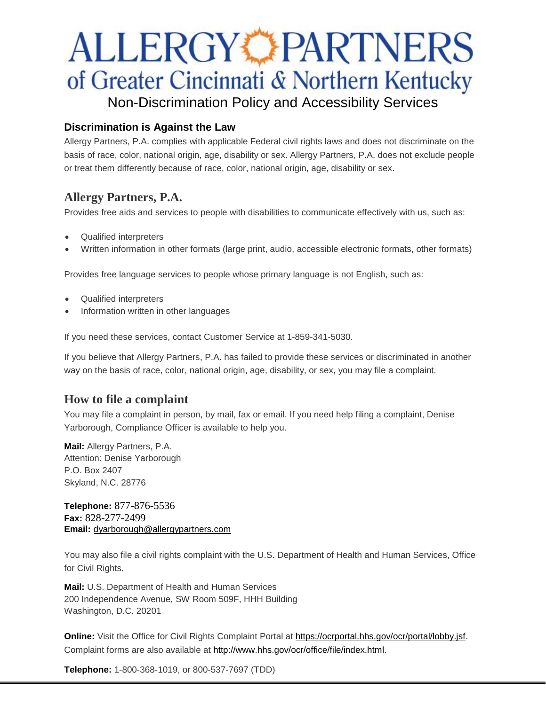# **ALLERGY PARTNERS** of Greater Cincinnati & Northern Kentucky Non-Discrimination Policy and Accessibility Services

## **Discrimination is Against the Law**

Allergy Partners, P.A. complies with applicable Federal civil rights laws and does not discriminate on the basis of race, color, national origin, age, disability or sex. Allergy Partners, P.A. does not exclude people or treat them differently because of race, color, national origin, age, disability or sex.

# **Allergy Partners, P.A.**

Provides free aids and services to people with disabilities to communicate effectively with us, such as:

- Qualified interpreters
- Written information in other formats (large print, audio, accessible electronic formats, other formats)

Provides free language services to people whose primary language is not English, such as:

- Qualified interpreters
- Information written in other languages

If you need these services, contact Customer Service at 1-859-341-5030.

If you believe that Allergy Partners, P.A. has failed to provide these services or discriminated in another way on the basis of race, color, national origin, age, disability, or sex, you may file a complaint.

## **How to file a complaint**

You may file a complaint in person, by mail, fax or email. If you need help filing a complaint, Denise Yarborough, Compliance Officer is available to help you.

**Mail:** Allergy Partners, P.A. Attention: Denise Yarborough P.O. Box 2407 Skyland, N.C. 28776

**Telephone:** 877-876-5536 **Fax:** 828-277-2499 **Email:** [dyarborough@allergypartners.com](mailto:dyarborough@allergypartners.com)

You may also file a civil rights complaint with the U.S. Department of Health and Human Services, Office for Civil Rights.

**Mail:** U.S. Department of Health and Human Services 200 Independence Avenue, SW Room 509F, HHH Building Washington, D.C. 20201

**Online:** Visit the Office for Civil Rights Complaint Portal at [https://ocrportal.hhs.gov/ocr/portal/lobby.jsf.](https://ocrportal.hhs.gov/ocr/portal/lobby.jsf) Complaint forms are also available at [http://www.hhs.gov/ocr/office/file/index.html.](http://www.hhs.gov/ocr/office/file/index.html)

**Telephone:** 1-800-368-1019, or 800-537-7697 (TDD)